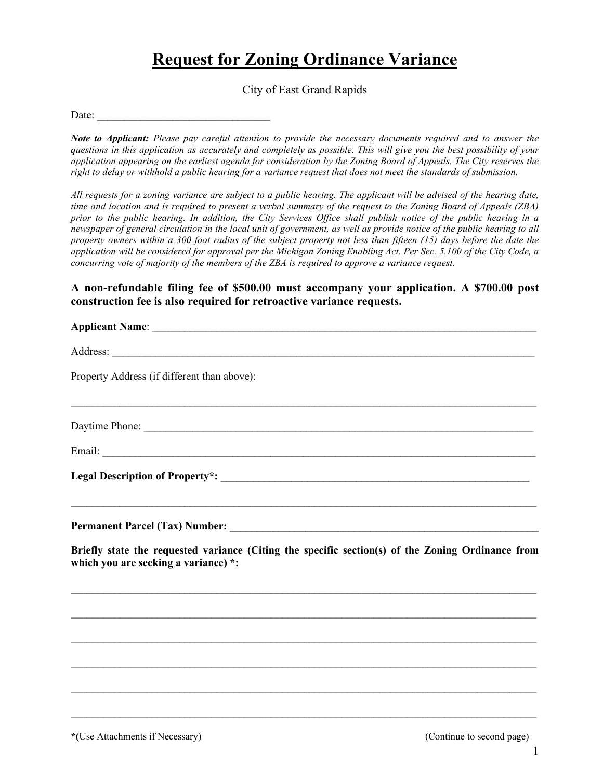## **Request for Zoning Ordinance Variance**

City of East Grand Rapids

Date:

*Note to Applicant: Please pay careful attention to provide the necessary documents required and to answer the questions in this application as accurately and completely as possible. This will give you the best possibility of your application appearing on the earliest agenda for consideration by the Zoning Board of Appeals. The City reserves the right to delay or withhold a public hearing for a variance request that does not meet the standards of submission.*

*All requests for a zoning variance are subject to a public hearing. The applicant will be advised of the hearing date, time and location and is required to present a verbal summary of the request to the Zoning Board of Appeals (ZBA) prior to the public hearing. In addition, the City Services Office shall publish notice of the public hearing in a newspaper of general circulation in the local unit of government, as well as provide notice of the public hearing to all property owners within a 300 foot radius of the subject property not less than fifteen (15) days before the date the application will be considered for approval per the Michigan Zoning Enabling Act. Per Sec. 5.100 of the City Code, a concurring vote of majority of the members of the ZBA is required to approve a variance request.*

**A non-refundable filing fee of \$500.00 must accompany your application. A \$700.00 post construction fee is also required for retroactive variance requests.** 

| Applicant Name: <u>Applicant Name:</u> Applicant Name: Applicant Name: Applicant Name: Applicant Name: Applicant Name: Applicant Name: Applicant Name: Applicant Name: Applicant Name: Applicant Name: Applicant Name: Applicant Na |
|-------------------------------------------------------------------------------------------------------------------------------------------------------------------------------------------------------------------------------------|
|                                                                                                                                                                                                                                     |
| Property Address (if different than above):                                                                                                                                                                                         |
|                                                                                                                                                                                                                                     |
|                                                                                                                                                                                                                                     |
|                                                                                                                                                                                                                                     |
| ,我们也不能在这里的人,我们也不能在这里的人,我们也不能在这里的人,我们也不能在这里的人,我们也不能在这里的人,我们也不能在这里的人,我们也不能在这里的人,我们也                                                                                                                                                   |
| Briefly state the requested variance (Citing the specific section(s) of the Zoning Ordinance from<br>which you are seeking a variance) *:                                                                                           |
|                                                                                                                                                                                                                                     |
|                                                                                                                                                                                                                                     |
|                                                                                                                                                                                                                                     |
|                                                                                                                                                                                                                                     |
|                                                                                                                                                                                                                                     |

 $\_$  , and the set of the set of the set of the set of the set of the set of the set of the set of the set of the set of the set of the set of the set of the set of the set of the set of the set of the set of the set of th